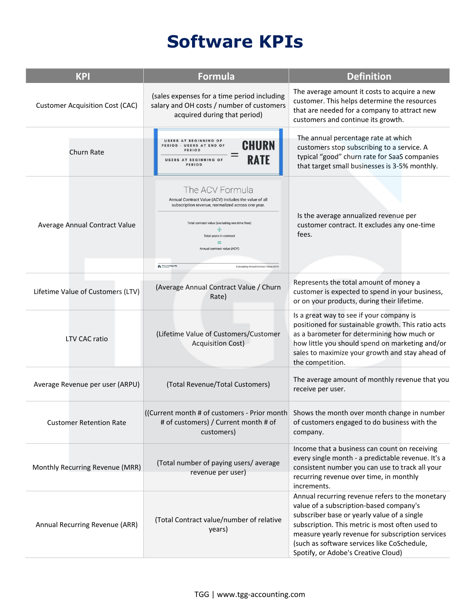## **Software KPIs**

| <b>KPI</b>                             | <b>Formula</b>                                                                                                                                                                                                                                                                                                       | <b>Definition</b>                                                                                                                                                                                                                                                                                                                      |
|----------------------------------------|----------------------------------------------------------------------------------------------------------------------------------------------------------------------------------------------------------------------------------------------------------------------------------------------------------------------|----------------------------------------------------------------------------------------------------------------------------------------------------------------------------------------------------------------------------------------------------------------------------------------------------------------------------------------|
| <b>Customer Acquisition Cost (CAC)</b> | (sales expenses for a time period including<br>salary and OH costs / number of customers<br>acquired during that period)                                                                                                                                                                                             | The average amount it costs to acquire a new<br>customer. This helps determine the resources<br>that are needed for a company to attract new<br>customers and continue its growth.                                                                                                                                                     |
| Churn Rate                             | USERS AT BEGINNING OF<br><b>CHURN</b><br>PERIOD - USERS AT END OF<br>PERIOD<br><b>RATE</b><br>USERS AT BEGINNING OF<br>PERIOD                                                                                                                                                                                        | The annual percentage rate at which<br>customers stop subscribing to a service. A<br>typical "good" churn rate for SaaS companies<br>that target small businesses is 3-5% monthly.                                                                                                                                                     |
| Average Annual Contract Value          | The ACV Formula<br>Annual Contract Value (ACV) includes the value of all<br>subscription revenue, normalized across one year.<br>Total contract value (excluding one-time fees)<br>Total years in contract<br>Annual contract value (ACV)<br>$\rho_i$ Price Intelligently<br>Calculating Annual Contract Value (ACV) | Is the average annualized revenue per<br>customer contract. It excludes any one-time<br>fees.                                                                                                                                                                                                                                          |
| Lifetime Value of Customers (LTV)      | (Average Annual Contract Value / Churn<br>Rate)                                                                                                                                                                                                                                                                      | Represents the total amount of money a<br>customer is expected to spend in your business,<br>or on your products, during their lifetime.                                                                                                                                                                                               |
| LTV CAC ratio                          | (Lifetime Value of Customers/Customer<br><b>Acquisition Cost)</b>                                                                                                                                                                                                                                                    | Is a great way to see if your company is<br>positioned for sustainable growth. This ratio acts<br>as a barometer for determining how much or<br>how little you should spend on marketing and/or<br>sales to maximize your growth and stay ahead of<br>the competition.                                                                 |
| Average Revenue per user (ARPU)        | (Total Revenue/Total Customers)                                                                                                                                                                                                                                                                                      | The average amount of monthly revenue that you<br>receive per user.                                                                                                                                                                                                                                                                    |
| <b>Customer Retention Rate</b>         | ((Current month # of customers - Prior month<br># of customers) / Current month # of<br>customers)                                                                                                                                                                                                                   | Shows the month over month change in number<br>of customers engaged to do business with the<br>company.                                                                                                                                                                                                                                |
| Monthly Recurring Revenue (MRR)        | (Total number of paying users/average<br>revenue per user)                                                                                                                                                                                                                                                           | Income that a business can count on receiving<br>every single month - a predictable revenue. It's a<br>consistent number you can use to track all your<br>recurring revenue over time, in monthly<br>increments.                                                                                                                       |
| Annual Recurring Revenue (ARR)         | (Total Contract value/number of relative<br>years)                                                                                                                                                                                                                                                                   | Annual recurring revenue refers to the monetary<br>value of a subscription-based company's<br>subscriber base or yearly value of a single<br>subscription. This metric is most often used to<br>measure yearly revenue for subscription services<br>(such as software services like CoSchedule,<br>Spotify, or Adobe's Creative Cloud) |